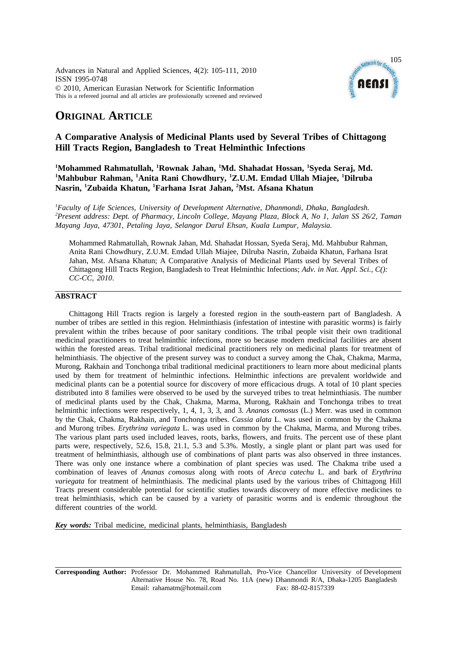Advances in Natural and Applied Sciences, 4(2): 105-111, 2010 ISSN 1995-0748 © 2010, American Eurasian Network for Scientific Information This is a refereed journal and all articles are professionally screened and reviewed



# **ORIGINAL ARTICLE**

## **A Comparative Analysis of Medicinal Plants used by Several Tribes of Chittagong Hill Tracts Region, Bangladesh to Treat Helminthic Infections**

<sup>1</sup>Mohammed Rahmatullah, <sup>1</sup>Rownak Jahan, <sup>1</sup>Md. Shahadat Hossan, <sup>1</sup>Syeda Seraj, Md. <sup>1</sup>Mahbubur Rahman, <sup>1</sup>Anita Rani Chowdhury, <sup>1</sup>Z.U.M. Emdad Ullah Miajee, <sup>1</sup>Dilruba **Nasrin, 1 Zubaida Khatun, 1 Farhana Israt Jahan, 2 Mst. Afsana Khatun**

*1 Faculty of Life Sciences, University of Development Alternative, Dhanmondi, Dhaka, Bangladesh. 2 Present address: Dept. of Pharmacy, Lincoln College, Mayang Plaza, Block A, No 1, Jalan SS 26/2, Taman Mayang Jaya, 47301, Petaling Jaya, Selangor Darul Ehsan, Kuala Lumpur, Malaysia.*

Mohammed Rahmatullah, Rownak Jahan, Md. Shahadat Hossan, Syeda Seraj, Md. Mahbubur Rahman, Anita Rani Chowdhury, Z.U.M. Emdad Ullah Miajee, Dilruba Nasrin, Zubaida Khatun, Farhana Israt Jahan, Mst. Afsana Khatun; A Comparative Analysis of Medicinal Plants used by Several Tribes of Chittagong Hill Tracts Region, Bangladesh to Treat Helminthic Infections; *Adv. in Nat. Appl. Sci., C(): CC-CC, 2010*.

### **ABSTRACT**

Chittagong Hill Tracts region is largely a forested region in the south-eastern part of Bangladesh. A number of tribes are settled in this region. Helminthiasis (infestation of intestine with parasitic worms) is fairly prevalent within the tribes because of poor sanitary conditions. The tribal people visit their own traditional medicinal practitioners to treat helminthic infections, more so because modern medicinal facilities are absent within the forested areas. Tribal traditional medicinal practitioners rely on medicinal plants for treatment of helminthiasis. The objective of the present survey was to conduct a survey among the Chak, Chakma, Marma, Murong, Rakhain and Tonchonga tribal traditional medicinal practitioners to learn more about medicinal plants used by them for treatment of helminthic infections. Helminthic infections are prevalent worldwide and medicinal plants can be a potential source for discovery of more efficacious drugs. A total of 10 plant species distributed into 8 families were observed to be used by the surveyed tribes to treat helminthiasis. The number of medicinal plants used by the Chak, Chakma, Marma, Murong, Rakhain and Tonchonga tribes to treat helminthic infections were respectively, 1, 4, 1, 3, 3, and 3. *Ananas comosus* (L.) Merr. was used in common by the Chak, Chakma, Rakhain, and Tonchonga tribes. *Cassia alata* L. was used in common by the Chakma and Murong tribes. *Erythrina variegata* L. was used in common by the Chakma, Marma, and Murong tribes. The various plant parts used included leaves, roots, barks, flowers, and fruits. The percent use of these plant parts were, respectively, 52.6, 15.8, 21.1, 5.3 and 5.3%. Mostly, a single plant or plant part was used for treatment of helminthiasis, although use of combinations of plant parts was also observed in three instances. There was only one instance where a combination of plant species was used. The Chakma tribe used a combination of leaves of *Ananas comosus* along with roots of *Areca catechu* L. and bark of *Erythrina variegata* for treatment of helminthiasis. The medicinal plants used by the various tribes of Chittagong Hill Tracts present considerable potential for scientific studies towards discovery of more effective medicines to treat helminthiasis, which can be caused by a variety of parasitic worms and is endemic throughout the different countries of the world.

*Key words:* Tribal medicine, medicinal plants, helminthiasis, Bangladesh

**Corresponding Author:** Professor Dr. Mohammed Rahmatullah, Pro-Vice Chancellor University of Development Alternative House No. 78, Road No. 11A (new) Dhanmondi R/A, Dhaka-1205 Bangladesh Email: rahamatm@hotmail.com Fax: 88-02-8157339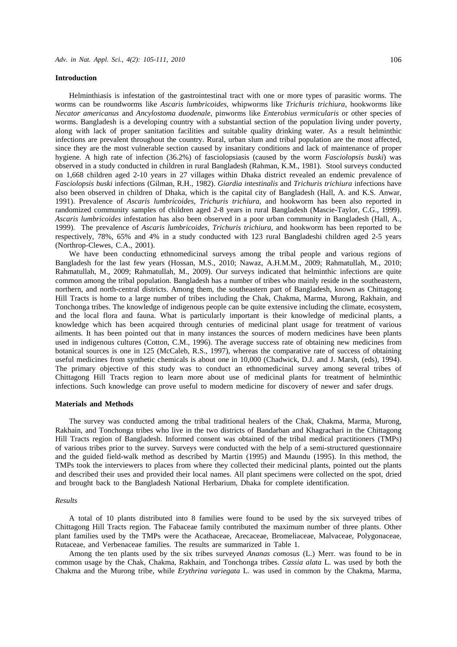#### **Introduction**

Helminthiasis is infestation of the gastrointestinal tract with one or more types of parasitic worms. The worms can be roundworms like *Ascaris lumbricoides*, whipworms like *Trichuris trichiura*, hookworms like *Necator americanus* and *Ancylostoma duodenale*, pinworms like *Enterobius vermicularis* or other species of worms. Bangladesh is a developing country with a substantial section of the population living under poverty, along with lack of proper sanitation facilities and suitable quality drinking water. As a result helminthic infections are prevalent throughout the country. Rural, urban slum and tribal population are the most affected, since they are the most vulnerable section caused by insanitary conditions and lack of maintenance of proper hygiene. A high rate of infection (36.2%) of fasciolopsiasis (caused by the worm *Fasciolopsis buski*) was observed in a study conducted in children in rural Bangladesh (Rahman, K.M., 1981). Stool surveys conducted on 1,668 children aged 2-10 years in 27 villages within Dhaka district revealed an endemic prevalence of *Fasciolopsis buski* infections (Gilman, R.H., 1982). *Giardia intestinalis* and *Trichuris trichiura* infections have also been observed in children of Dhaka, which is the capital city of Bangladesh (Hall, A. and K.S. Anwar, 1991). Prevalence of *Ascaris lumbricoides*, *Trichuris trichiura*, and hookworm has been also reported in randomized community samples of children aged 2-8 years in rural Bangladesh (Mascie-Taylor, C.G., 1999). *Ascaris lumbricoides* infestation has also been observed in a poor urban community in Bangladesh (Hall, A., 1999). The prevalence of *Ascaris lumbricoides*, *Trichuris trichiura*, and hookworm has been reported to be respectively, 78%, 65% and 4% in a study conducted with 123 rural Bangladeshi children aged 2-5 years (Northrop-Clewes, C.A., 2001).

We have been conducting ethnomedicinal surveys among the tribal people and various regions of Bangladesh for the last few years (Hossan, M.S., 2010; Nawaz, A.H.M.M., 2009; Rahmatullah, M., 2010; Rahmatullah, M., 2009; Rahmatullah, M., 2009). Our surveys indicated that helminthic infections are quite common among the tribal population. Bangladesh has a number of tribes who mainly reside in the southeastern, northern, and north-central districts. Among them, the southeastern part of Bangladesh, known as Chittagong Hill Tracts is home to a large number of tribes including the Chak, Chakma, Marma, Murong, Rakhain, and Tonchonga tribes. The knowledge of indigenous people can be quite extensive including the climate, ecosystem, and the local flora and fauna. What is particularly important is their knowledge of medicinal plants, a knowledge which has been acquired through centuries of medicinal plant usage for treatment of various ailments. It has been pointed out that in many instances the sources of modern medicines have been plants used in indigenous cultures (Cotton, C.M., 1996). The average success rate of obtaining new medicines from botanical sources is one in 125 (McCaleb, R.S., 1997), whereas the comparative rate of success of obtaining useful medicines from synthetic chemicals is about one in 10,000 (Chadwick, D.J. and J. Marsh, (eds), 1994). The primary objective of this study was to conduct an ethnomedicinal survey among several tribes of Chittagong Hill Tracts region to learn more about use of medicinal plants for treatment of helminthic infections. Such knowledge can prove useful to modern medicine for discovery of newer and safer drugs.

#### **Materials and Methods**

The survey was conducted among the tribal traditional healers of the Chak, Chakma, Marma, Murong, Rakhain, and Tonchonga tribes who live in the two districts of Bandarban and Khagrachari in the Chittagong Hill Tracts region of Bangladesh. Informed consent was obtained of the tribal medical practitioners (TMPs) of various tribes prior to the survey. Surveys were conducted with the help of a semi-structured questionnaire and the guided field-walk method as described by Martin (1995) and Maundu (1995). In this method, the TMPs took the interviewers to places from where they collected their medicinal plants, pointed out the plants and described their uses and provided their local names. All plant specimens were collected on the spot, dried and brought back to the Bangladesh National Herbarium, Dhaka for complete identification.

#### *Results*

A total of 10 plants distributed into 8 families were found to be used by the six surveyed tribes of Chittagong Hill Tracts region. The Fabaceae family contributed the maximum number of three plants. Other plant families used by the TMPs were the Acathaceae, Arecaceae, Bromeliaceae, Malvaceae, Polygonaceae, Rutaceae, and Verbenaceae families. The results are summarized in Table 1.

Among the ten plants used by the six tribes surveyed *Ananas comosus* (L.) Merr. was found to be in common usage by the Chak, Chakma, Rakhain, and Tonchonga tribes. *Cassia alata* L. was used by both the Chakma and the Murong tribe, while *Erythrina variegata* L. was used in common by the Chakma, Marma,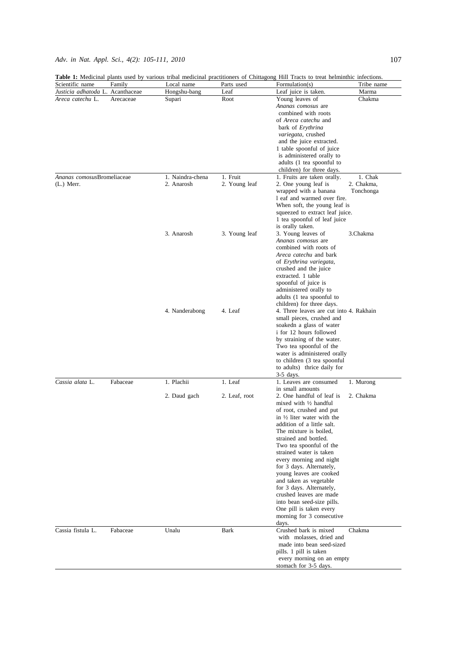|                                                      |           |                  |               | Table 1: Medicinal plants used by various tribal medicinal practitioners of Chittagong Hill Tracts to treat helminthic infections. |                 |
|------------------------------------------------------|-----------|------------------|---------------|------------------------------------------------------------------------------------------------------------------------------------|-----------------|
| Scientific name                                      | Family    | Local name       | Parts used    | Formulation(s)                                                                                                                     | Tribe name      |
| Justicia adhatoda L. Acanthaceae<br>Areca catechu L. | Arecaceae | Hongshu-bang     | Leaf          | Leaf juice is taken.<br>Young leaves of                                                                                            | Marma<br>Chakma |
|                                                      |           | Supari           | Root          | Ananas comosus are                                                                                                                 |                 |
|                                                      |           |                  |               | combined with roots                                                                                                                |                 |
|                                                      |           |                  |               | of Areca catechu and                                                                                                               |                 |
|                                                      |           |                  |               | bark of <i>Erythrina</i>                                                                                                           |                 |
|                                                      |           |                  |               | variegata, crushed                                                                                                                 |                 |
|                                                      |           |                  |               | and the juice extracted.                                                                                                           |                 |
|                                                      |           |                  |               | 1 table spoonful of juice                                                                                                          |                 |
|                                                      |           |                  |               | is administered orally to                                                                                                          |                 |
|                                                      |           |                  |               | adults (1 tea spoonful to                                                                                                          |                 |
|                                                      |           |                  |               | children) for three days.                                                                                                          |                 |
| Ananas comosusBromeliaceae                           |           | 1. Naindra-chena | 1. Fruit      | 1. Fruits are taken orally.                                                                                                        | 1. Chak         |
| $(L.)$ Merr.                                         |           | 2. Anarosh       | 2. Young leaf | 2. One young leaf is                                                                                                               | 2. Chakma,      |
|                                                      |           |                  |               | wrapped with a banana                                                                                                              | Tonchonga       |
|                                                      |           |                  |               | 1 eaf and warmed over fire.                                                                                                        |                 |
|                                                      |           |                  |               | When soft, the young leaf is<br>squeezed to extract leaf juice.                                                                    |                 |
|                                                      |           |                  |               | 1 tea spoonful of leaf juice                                                                                                       |                 |
|                                                      |           |                  |               | is orally taken.                                                                                                                   |                 |
|                                                      |           | 3. Anarosh       | 3. Young leaf | 3. Young leaves of                                                                                                                 | 3.Chakma        |
|                                                      |           |                  |               | Ananas comosus are                                                                                                                 |                 |
|                                                      |           |                  |               | combined with roots of                                                                                                             |                 |
|                                                      |           |                  |               | Areca catechu and bark                                                                                                             |                 |
|                                                      |           |                  |               | of Erythrina variegata,                                                                                                            |                 |
|                                                      |           |                  |               | crushed and the juice                                                                                                              |                 |
|                                                      |           |                  |               | extracted. 1 table                                                                                                                 |                 |
|                                                      |           |                  |               | spoonful of juice is                                                                                                               |                 |
|                                                      |           |                  |               | administered orally to                                                                                                             |                 |
|                                                      |           |                  |               | adults (1 tea spoonful to                                                                                                          |                 |
|                                                      |           |                  |               | children) for three days.                                                                                                          |                 |
|                                                      |           | 4. Nanderabong   | 4. Leaf       | 4. Three leaves are cut into 4. Rakhain                                                                                            |                 |
|                                                      |           |                  |               | small pieces, crushed and                                                                                                          |                 |
|                                                      |           |                  |               | soakedn a glass of water                                                                                                           |                 |
|                                                      |           |                  |               | i for 12 hours followed<br>by straining of the water.                                                                              |                 |
|                                                      |           |                  |               | Two tea spoonful of the                                                                                                            |                 |
|                                                      |           |                  |               | water is administered orally                                                                                                       |                 |
|                                                      |           |                  |               | to children (3 tea spoonful                                                                                                        |                 |
|                                                      |           |                  |               | to adults) thrice daily for                                                                                                        |                 |
|                                                      |           |                  |               | 3-5 days.                                                                                                                          |                 |
| Cassia alata L.                                      | Fabaceae  | 1. Plachii       | 1. Leaf       | 1. Leaves are consumed                                                                                                             | 1. Murong       |
|                                                      |           |                  |               | in small amounts                                                                                                                   |                 |
|                                                      |           | 2. Daud gach     | 2. Leaf, root | 2. One handful of leaf is                                                                                                          | 2. Chakma       |
|                                                      |           |                  |               | mixed with $\frac{1}{2}$ handful                                                                                                   |                 |
|                                                      |           |                  |               | of root, crushed and put                                                                                                           |                 |
|                                                      |           |                  |               | in $\frac{1}{2}$ liter water with the                                                                                              |                 |
|                                                      |           |                  |               | addition of a little salt.<br>The mixture is boiled,                                                                               |                 |
|                                                      |           |                  |               | strained and bottled.                                                                                                              |                 |
|                                                      |           |                  |               | Two tea spoonful of the                                                                                                            |                 |
|                                                      |           |                  |               | strained water is taken                                                                                                            |                 |
|                                                      |           |                  |               | every morning and night                                                                                                            |                 |
|                                                      |           |                  |               | for 3 days. Alternately,                                                                                                           |                 |
|                                                      |           |                  |               | young leaves are cooked                                                                                                            |                 |
|                                                      |           |                  |               | and taken as vegetable                                                                                                             |                 |
|                                                      |           |                  |               | for 3 days. Alternately,                                                                                                           |                 |
|                                                      |           |                  |               | crushed leaves are made                                                                                                            |                 |
|                                                      |           |                  |               | into bean seed-size pills.                                                                                                         |                 |
|                                                      |           |                  |               | One pill is taken every                                                                                                            |                 |
|                                                      |           |                  |               | morning for 3 consecutive                                                                                                          |                 |
|                                                      |           |                  |               | days.                                                                                                                              |                 |
| Cassia fistula L.                                    | Fabaceae  | Unalu            | Bark          | Crushed bark is mixed                                                                                                              | Chakma          |
|                                                      |           |                  |               | with molasses, dried and                                                                                                           |                 |
|                                                      |           |                  |               | made into bean seed-sized<br>pills. 1 pill is taken                                                                                |                 |
|                                                      |           |                  |               | every morning on an empty                                                                                                          |                 |
|                                                      |           |                  |               |                                                                                                                                    |                 |

stomach for 3-5 days.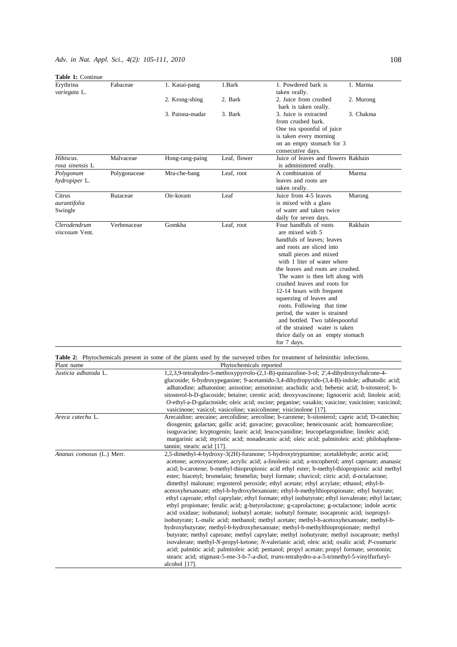| Table 1: Continue            |              |                                                                                                                                                                                               |              |                                                                                                                                                                                             |           |  |  |
|------------------------------|--------------|-----------------------------------------------------------------------------------------------------------------------------------------------------------------------------------------------|--------------|---------------------------------------------------------------------------------------------------------------------------------------------------------------------------------------------|-----------|--|--|
| Erythrina<br>variegata L.    | Fabaceae     | 1. Kasai-pang                                                                                                                                                                                 | 1.Bark       | 1. Powdered bark is<br>taken orally.                                                                                                                                                        | 1. Marma  |  |  |
|                              |              | 2. Krong-shing                                                                                                                                                                                | 2. Bark      | 2. Juice from crushed<br>bark is taken orally.                                                                                                                                              | 2. Murong |  |  |
|                              |              | 3. Painna-madar                                                                                                                                                                               | 3. Bark      | 3. Juice is extracted<br>from crushed bark.                                                                                                                                                 | 3. Chakma |  |  |
|                              |              |                                                                                                                                                                                               |              | One tea spoonful of juice                                                                                                                                                                   |           |  |  |
|                              |              |                                                                                                                                                                                               |              | is taken every morning                                                                                                                                                                      |           |  |  |
|                              |              |                                                                                                                                                                                               |              | on an empty stomach for 3<br>consecutive days.                                                                                                                                              |           |  |  |
| Hibiscus.<br>rosa sinensis L | Malvaceae    | Hong-rang-paing                                                                                                                                                                               | Leaf, flower | Juice of leaves and flowers Rakhain<br>is administered orally.                                                                                                                              |           |  |  |
| Polygonum<br>hydropiper L.   | Polygonaceae | Mra-che-bang                                                                                                                                                                                  | Leaf, root   | A combination of<br>leaves and roots are<br>taken orally.                                                                                                                                   | Marma     |  |  |
| Citrus                       | Rutaceae     | Oir-koram                                                                                                                                                                                     | Leaf         | Juice from 4-5 leaves                                                                                                                                                                       | Murong    |  |  |
| aurantifolia                 |              |                                                                                                                                                                                               |              | is mixed with a glass                                                                                                                                                                       |           |  |  |
| Swingle                      |              |                                                                                                                                                                                               |              | of water and taken twice<br>daily for seven days.                                                                                                                                           |           |  |  |
| Clerodendrum                 | Verbenaceae  | Gomkha                                                                                                                                                                                        | Leaf, root   | Four handfuls of roots                                                                                                                                                                      | Rakhain   |  |  |
| viscosum Vent.               |              |                                                                                                                                                                                               |              | are mixed with 5                                                                                                                                                                            |           |  |  |
|                              |              |                                                                                                                                                                                               |              | handfuls of leaves: leaves                                                                                                                                                                  |           |  |  |
|                              |              |                                                                                                                                                                                               |              | and roots are sliced into                                                                                                                                                                   |           |  |  |
|                              |              |                                                                                                                                                                                               |              | small pieces and mixed<br>with 1 liter of water where                                                                                                                                       |           |  |  |
|                              |              |                                                                                                                                                                                               |              | the leaves and roots are crushed.                                                                                                                                                           |           |  |  |
|                              |              |                                                                                                                                                                                               |              | The water is then left along with                                                                                                                                                           |           |  |  |
|                              |              |                                                                                                                                                                                               |              | crushed leaves and roots for                                                                                                                                                                |           |  |  |
|                              |              |                                                                                                                                                                                               |              | 12-14 hours with frequent                                                                                                                                                                   |           |  |  |
|                              |              |                                                                                                                                                                                               |              | squeezing of leaves and<br>roots. Following that time                                                                                                                                       |           |  |  |
|                              |              |                                                                                                                                                                                               |              | period, the water is strained                                                                                                                                                               |           |  |  |
|                              |              |                                                                                                                                                                                               |              | and bottled. Two tablespoonful                                                                                                                                                              |           |  |  |
|                              |              |                                                                                                                                                                                               |              | of the strained water is taken                                                                                                                                                              |           |  |  |
|                              |              |                                                                                                                                                                                               |              | thrice daily on an empty stomach                                                                                                                                                            |           |  |  |
|                              |              |                                                                                                                                                                                               |              | for 7 days.                                                                                                                                                                                 |           |  |  |
|                              |              |                                                                                                                                                                                               |              | Table 2: Phytochemicals present in some of the plants used by the surveyed tribes for treatment of helminthic infections.                                                                   |           |  |  |
| Plant name                   |              | Phytochemicals reported                                                                                                                                                                       |              |                                                                                                                                                                                             |           |  |  |
| Justicia adhatoda L.         |              | 1,2,3,9-tetrahydro-5-methoxypyrrolo-(2,1-B)-quinazoline-3-ol; 2',4-dihydroxychalcone-4-<br>glucoside; 6-hydroxypeganine; 9-acetamido-3,4-dihydropyrido-(3,4-B)-indole; adhatodic acid;        |              |                                                                                                                                                                                             |           |  |  |
|                              |              |                                                                                                                                                                                               |              | adhatodine; adhatonine; anisotine; anisotinine; arachidic acid; behenic acid; b-sitosterol; b-                                                                                              |           |  |  |
|                              |              | sitosterol-b-D-glucoside; betaine; cerotic acid; deoxyvascinone; lignoceric acid; linoleic acid;                                                                                              |              |                                                                                                                                                                                             |           |  |  |
|                              |              |                                                                                                                                                                                               |              | O-ethyl-a-D-galactoside; oleic acid; oscine; peganine; vasakin; vasicine; vasicinine; vasicinol;                                                                                            |           |  |  |
|                              |              |                                                                                                                                                                                               |              | vasicinone; vasicol; vasicoline; vasicolinone; visicinolone [17].                                                                                                                           |           |  |  |
| Areca catechu L.             |              | Arecaidine; arecaine; arecolidine; arecoline; b-carotene; b-sitosterol; capric acid; D-catechin;<br>diosgenin; galactan; gallic acid; guvacine; guvacoline; heneicosanic acid; homoarecoline; |              |                                                                                                                                                                                             |           |  |  |
|                              |              |                                                                                                                                                                                               |              | isoguvacine; kryptogenin; lauric acid; leucocyanidine; leucopelargonidine; linoleic acid;                                                                                                   |           |  |  |
|                              |              |                                                                                                                                                                                               |              | margarinic acid; myristic acid; nonadecanic acid; oleic acid; palmitoleic acid; philobaphene-                                                                                               |           |  |  |
|                              |              | tannin; stearic acid [17].                                                                                                                                                                    |              |                                                                                                                                                                                             |           |  |  |
| Ananas comosus (L.) Merr.    |              | 2,5-dimethyl-4-hydroxy-3(2H)-furanone; 5-hydroxytryptamine; acetaldehyde; acetic acid;<br>acetone; acetoxyacetone; acrylic acid; a-linolenic acid; a-tocopherol; amyl caproate; ananasic      |              |                                                                                                                                                                                             |           |  |  |
|                              |              |                                                                                                                                                                                               |              | acid; b-carotene; b-methyl-thiopropionic acid ethyl ester; b-methyl-thiopropionic acid methyl                                                                                               |           |  |  |
|                              |              |                                                                                                                                                                                               |              | ester; biacetyl; bromelain; bromelin; butyl formate; chavicol; citric acid; d-octalactone;                                                                                                  |           |  |  |
|                              |              |                                                                                                                                                                                               |              | dimethyl malonate; ergosterol peroxide; ethyl acetate; ethyl acrylate; ethanol; ethyl-b-                                                                                                    |           |  |  |
|                              |              |                                                                                                                                                                                               |              | acetoxyhexanoate; ethyl-b-hydroxyhexanoate; ethyl-b-methylthiopropionate; ethyl butyrate;                                                                                                   |           |  |  |
|                              |              |                                                                                                                                                                                               |              | ethyl caproate; ethyl caprylate; ethyl formate; ethyl isobutyrate; ethyl isovalerate; ethyl lactate;                                                                                        |           |  |  |
|                              |              |                                                                                                                                                                                               |              | ethyl propionate; ferulic acid; g-butyrolactone; g-caprolactone; g-octalactone; indole acetic<br>acid oxidase; isobutanol; isobutyl acetate; isobutyl formate; isocapronic acid; isopropyl- |           |  |  |
|                              |              |                                                                                                                                                                                               |              | isobutyrate; L-malic acid; methanol; methyl acetate; methyl-b-acetoxyhexanoate; methyl-b-                                                                                                   |           |  |  |
|                              |              |                                                                                                                                                                                               |              | hydroxybutyrate; methyl-b-hydroxyhexanoate; methyl-b-methylthiopropionate; methyl                                                                                                           |           |  |  |
|                              |              |                                                                                                                                                                                               |              | butyrate; methyl caproate; methyl caprylate; methyl isobutyrate; methyl isocaproate; methyl                                                                                                 |           |  |  |
|                              |              |                                                                                                                                                                                               |              | isovalerate; methyl-N-propyl-ketone; N-valerianic acid; oleic acid; oxalic acid; P-coumaric                                                                                                 |           |  |  |
|                              |              |                                                                                                                                                                                               |              | acid; palmitic acid; palmitoleic acid; pentanol; propyl acetate; propyl formate; serotonin;                                                                                                 |           |  |  |
|                              |              |                                                                                                                                                                                               |              | stearic acid; stigmast-5-ene-3-b-7-a-diol; trans-tetrahydro-a-a-5-trimethyl-5-vinylfurfuryl-                                                                                                |           |  |  |
|                              |              | alcohol $[17]$ .                                                                                                                                                                              |              |                                                                                                                                                                                             |           |  |  |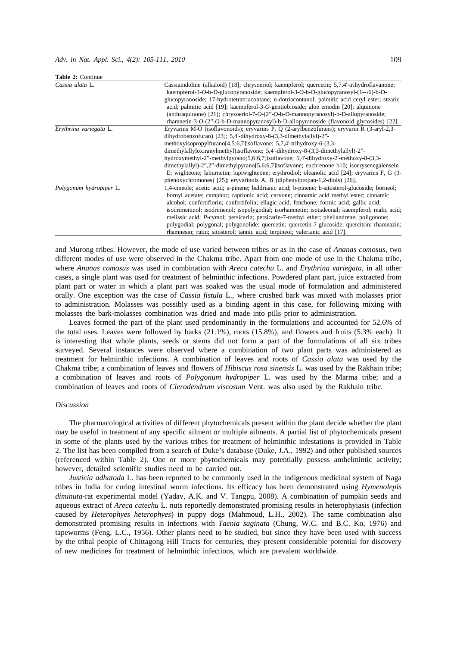| Table 2: Continue       |                                                                                                                                                                                                                                                                                                                                                                                                                                                                                                                                                                                                                                                                                                         |  |  |
|-------------------------|---------------------------------------------------------------------------------------------------------------------------------------------------------------------------------------------------------------------------------------------------------------------------------------------------------------------------------------------------------------------------------------------------------------------------------------------------------------------------------------------------------------------------------------------------------------------------------------------------------------------------------------------------------------------------------------------------------|--|--|
| Cassia alata L.         | Cassiaindoline (alkaloid) [18]; chrysoeriol; kaempferol; quercetin; 5,7,4'-trihydroflavanone;<br>kaempferol-3-O-b-D-glucopyranoside; kaempferol-3-O-b-D-glucopyranosyl- $(1-\rightarrow6)$ -b-D-<br>glucopyranoside; 17-hydrotetratriacontane; n-dotriacontanol; palmitic acid ceryl ester; stearic<br>acid; palmitic acid [19]; kaempferol-3-O-gentiobioside; aloe emodin [20]; alquinone<br>(anthraquinone) [21]; chrysoeriol-7- $O$ - $(2^{\circ}$ - $O$ -b-D-mannopyranosyl)-b-D-allopyranoside;<br>rhamnetin-3-O- $(2^{\nu}$ -O-b-D-mannopyranosyl)-b-D-allopyranoside (flavonoid glycosides) [22].                                                                                                |  |  |
| Erythrina variegata L.  | Eryvarins M-O (isoflavonoids); eryvarins P, Q (2-arylbenzofurans); eryvarin R (3-aryl-2,3-<br>dihydrobenzofuran) [23]; 5,4'-dihydroxy-8-(3,3-dimethylallyl)-2"-<br>methoxyisopropylfurano[4,5:6,7]isoflavone; 5,7,4'-trihydroxy-6-(3,3-<br>dimethylallyloxiranylmethyl)isoflavone; 5,4'-dihydroxy-8-(3,3-dimethylallyl)-2"-<br>hydroxymethyl-2"-methylpyrano $[5,6:6,7]$ isoflavone; 5,4'-dihydroxy-2'-methoxy-8- $(3,3-$<br>dimethylallyl)-2",2"-dimethylpyrano[5,6:6,7] isoflavone; euchrenone b10; isoerysenegalensein<br>E; wighteone; laburnetin; lupiwighteone; erythrodiol; oleanolic acid [24]; eryvarins F, G (3-<br>phenoxychromones) [25]; eryvarinols A, B (diphenylpropan-1,2-diols) [26]. |  |  |
| Polygonum hydropiper L. | 1,4-cineole; acetic acid; a-pinene; baldrianic acid; b-pinene; b-sitosterol-glucoside; borneol;<br>bornyl acetate; camphor; caprionic acid; carvone; cinnamic acid methyl ester; cinnamic<br>alcohol; confertiflorin; confertifolin; ellagic acid; fenchone; formic acid; gallic acid;<br>isodrimeninol; isodrimenol; isopolygodial; isorhamnetin; isotadeonal; kaempferol; malic acid;<br>melissic acid; <i>P</i> -cymol; persicarin; persicarin-7-methyl ether; phellandrene; poligonone;<br>polygodial; polygonal; polygonolide; quercetin; quercetin-7-glucoside; quercitrin; rhamnazin;<br>rhamnesin; rutin; sitosterol; tannic acid; terpineol; valerianic acid [17].                             |  |  |

and Murong tribes. However, the mode of use varied between tribes or as in the case of *Ananas comosus*, two different modes of use were observed in the Chakma tribe. Apart from one mode of use in the Chakma tribe, where *Ananas comosus* was used in combination with *Areca catechu* L. and *Erythrina variegata*, in all other cases, a single plant was used for treatment of helminthic infections. Powdered plant part, juice extracted from plant part or water in which a plant part was soaked was the usual mode of formulation and administered orally. One exception was the case of *Cassia fistula* L., where crushed bark was mixed with molasses prior to administration. Molasses was possibly used as a binding agent in this case, for following mixing with molasses the bark-molasses combination was dried and made into pills prior to administration.

Leaves formed the part of the plant used predominantly in the formulations and accounted for 52.6% of the total uses. Leaves were followed by barks (21.1%), roots (15.8%), and flowers and fruits (5.3% each). It is interesting that whole plants, seeds or stems did not form a part of the formulations of all six tribes surveyed. Several instances were observed where a combination of two plant parts was administered as treatment for helminthic infections. A combination of leaves and roots of *Cassia alata* was used by the Chakma tribe; a combination of leaves and flowers of *Hibiscus rosa sinensis* L. was used by the Rakhain tribe; a combination of leaves and roots of *Polygonum hydropiper* L. was used by the Marma tribe; and a combination of leaves and roots of *Clerodendrum viscosum* Vent. was also used by the Rakhain tribe.

#### *Discussion*

The pharmacological activities of different phytochemicals present within the plant decide whether the plant may be useful in treatment of any specific ailment or multiple ailments. A partial list of phytochemicals present in some of the plants used by the various tribes for treatment of helminthic infestations is provided in Table 2. The list has been compiled from a search of Duke's database (Duke, J.A., 1992) and other published sources (referenced within Table 2). One or more phytochemicals may potentially possess anthelmintic activity; however, detailed scientific studies need to be carried out.

*Justicia adhatoda* L. has been reported to be commonly used in the indigenous medicinal system of Naga tribes in India for curing intestinal worm infections. Its efficacy has been demonstrated using *Hymenolepis diminuta*-rat experimental model (Yadav, A.K. and V. Tangpu, 2008). A combination of pumpkin seeds and aqueous extract of *Areca catechu* L. nuts reportedly demonstrated promising results in heterophyiasis (infection caused by *Heterophyes heterophyes*) in puppy dogs (Mahmoud, L.H., 2002). The same combination also demonstrated promising results in infections with *Taenia saginata* (Chung, W.C. and B.C. Ko, 1976) and tapeworms (Feng, L.C., 1956). Other plants need to be studied, but since they have been used with success by the tribal people of Chittagong Hill Tracts for centuries, they present considerable potential for discovery of new medicines for treatment of helminthic infections, which are prevalent worldwide.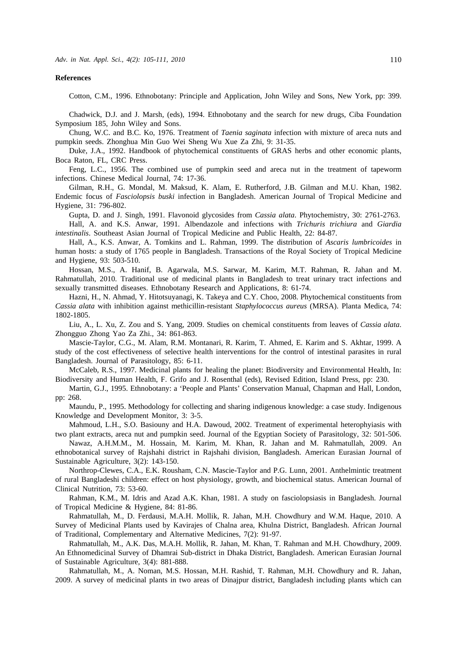#### **References**

Cotton, C.M., 1996. Ethnobotany: Principle and Application, John Wiley and Sons, New York, pp: 399.

Chadwick, D.J. and J. Marsh, (eds), 1994. Ethnobotany and the search for new drugs, Ciba Foundation Symposium 185, John Wiley and Sons.

Chung, W.C. and B.C. Ko, 1976. Treatment of *Taenia saginata* infection with mixture of areca nuts and pumpkin seeds. Zhonghua Min Guo Wei Sheng Wu Xue Za Zhi, 9: 31-35.

Duke, J.A., 1992. Handbook of phytochemical constituents of GRAS herbs and other economic plants, Boca Raton, FL, CRC Press.

Feng, L.C., 1956. The combined use of pumpkin seed and areca nut in the treatment of tapeworm infections. Chinese Medical Journal, 74: 17-36.

Gilman, R.H., G. Mondal, M. Maksud, K. Alam, E. Rutherford, J.B. Gilman and M.U. Khan, 1982. Endemic focus of *Fasciolopsis buski* infection in Bangladesh. American Journal of Tropical Medicine and Hygiene, 31: 796-802.

Gupta, D. and J. Singh, 1991. Flavonoid glycosides from *Cassia alata*. Phytochemistry, 30: 2761-2763. Hall, A. and K.S. Anwar, 1991. Albendazole and infections with *Trichuris trichiura* and *Giardia intestinalis*. Southeast Asian Journal of Tropical Medicine and Public Health, 22: 84-87.

Hall, A., K.S. Anwar, A. Tomkins and L. Rahman, 1999. The distribution of *Ascaris lumbricoides* in human hosts: a study of 1765 people in Bangladesh. Transactions of the Royal Society of Tropical Medicine and Hygiene, 93: 503-510.

Hossan, M.S., A. Hanif, B. Agarwala, M.S. Sarwar, M. Karim, M.T. Rahman, R. Jahan and M. Rahmatullah, 2010. Traditional use of medicinal plants in Bangladesh to treat urinary tract infections and sexually transmitted diseases. Ethnobotany Research and Applications, 8: 61-74.

Hazni, H., N. Ahmad, Y. Hitotsuyanagi, K. Takeya and C.Y. Choo, 2008. Phytochemical constituents from *Cassia alata* with inhibition against methicillin-resistant *Staphylococcus aureus* (MRSA). Planta Medica, 74: 1802-1805.

Liu, A., L. Xu, Z. Zou and S. Yang, 2009. Studies on chemical constituents from leaves of *Cassia alata*. Zhongguo Zhong Yao Za Zhi., 34: 861-863.

Mascie-Taylor, C.G., M. Alam, R.M. Montanari, R. Karim, T. Ahmed, E. Karim and S. Akhtar, 1999. A study of the cost effectiveness of selective health interventions for the control of intestinal parasites in rural Bangladesh. Journal of Parasitology, 85: 6-11.

McCaleb, R.S., 1997. Medicinal plants for healing the planet: Biodiversity and Environmental Health, In: Biodiversity and Human Health, F. Grifo and J. Rosenthal (eds), Revised Edition, Island Press, pp: 230.

Martin, G.J., 1995. Ethnobotany: a 'People and Plants' Conservation Manual, Chapman and Hall, London, pp: 268.

Maundu, P., 1995. Methodology for collecting and sharing indigenous knowledge: a case study. Indigenous Knowledge and Development Monitor, 3: 3-5.

Mahmoud, L.H., S.O. Basiouny and H.A. Dawoud, 2002. Treatment of experimental heterophyiasis with two plant extracts, areca nut and pumpkin seed. Journal of the Egyptian Society of Parasitology, 32: 501-506.

Nawaz, A.H.M.M., M. Hossain, M. Karim, M. Khan, R. Jahan and M. Rahmatullah, 2009. An ethnobotanical survey of Rajshahi district in Rajshahi division, Bangladesh. American Eurasian Journal of Sustainable Agriculture, 3(2): 143-150.

Northrop-Clewes, C.A., E.K. Rousham, C.N. Mascie-Taylor and P.G. Lunn, 2001. Anthelmintic treatment of rural Bangladeshi children: effect on host physiology, growth, and biochemical status. American Journal of Clinical Nutrition, 73: 53-60.

Rahman, K.M., M. Idris and Azad A.K. Khan, 1981. A study on fasciolopsiasis in Bangladesh. Journal of Tropical Medicine & Hygiene, 84: 81-86.

Rahmatullah, M., D. Ferdausi, M.A.H. Mollik, R. Jahan, M.H. Chowdhury and W.M. Haque, 2010. A Survey of Medicinal Plants used by Kavirajes of Chalna area, Khulna District, Bangladesh. African Journal of Traditional, Complementary and Alternative Medicines, 7(2): 91-97.

Rahmatullah, M., A.K. Das, M.A.H. Mollik, R. Jahan, M. Khan, T. Rahman and M.H. Chowdhury, 2009. An Ethnomedicinal Survey of Dhamrai Sub-district in Dhaka District, Bangladesh. American Eurasian Journal of Sustainable Agriculture, 3(4): 881-888.

Rahmatullah, M., A. Noman, M.S. Hossan, M.H. Rashid, T. Rahman, M.H. Chowdhury and R. Jahan, 2009. A survey of medicinal plants in two areas of Dinajpur district, Bangladesh including plants which can